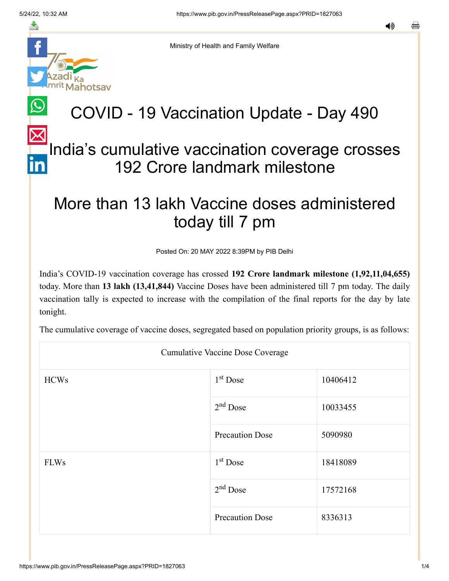≛

Ministry of Health and Family Welfare

hotsav

## COVID - 19 Vaccination Update - Day 490

## [In](https://www.linkedin.com/shareArticle?mini=true&url=https://pib.gov.in/PressReleasePage.aspx?PRID=1827063&title=COVID%20-%2019%20Vaccination%20Update%20-%20Day%20490&summary=My%20favorite%20developer%20program&source=LinkedIn)dia's cumulative vaccination coverage crosses 192 Crore landmark milestone

## More than 13 lakh Vaccine doses administered today till 7 pm

Posted On: 20 MAY 2022 8:39PM by PIB Delhi

India's COVID-19 vaccination coverage has crossed **192 Crore landmark milestone (1,92,11,04,655)** today. More than **13 lakh (13,41,844)** Vaccine Doses have been administered till 7 pm today. The daily vaccination tally is expected to increase with the compilation of the final reports for the day by late tonight.

The cumulative coverage of vaccine doses, segregated based on population priority groups, is as follows:

| <b>Cumulative Vaccine Dose Coverage</b> |                        |          |  |  |
|-----------------------------------------|------------------------|----------|--|--|
| <b>HCWs</b>                             | $1st$ Dose             | 10406412 |  |  |
|                                         | $2nd$ Dose             | 10033455 |  |  |
|                                         | <b>Precaution Dose</b> | 5090980  |  |  |
| <b>FLWs</b>                             | $1st$ Dose             | 18418089 |  |  |
|                                         | $2nd$ Dose             | 17572168 |  |  |
|                                         | <b>Precaution Dose</b> | 8336313  |  |  |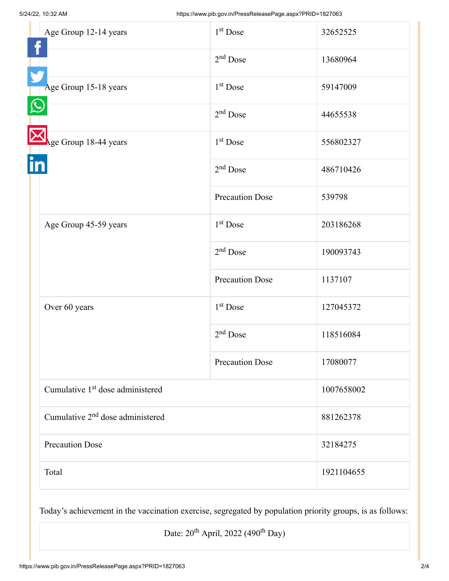|  | Age Group 12-14 years                        | 1 <sup>st</sup> Dose   | 32652525   |
|--|----------------------------------------------|------------------------|------------|
|  |                                              | $2nd$ Dose             | 13680964   |
|  | Age Group 15-18 years                        | 1 <sup>st</sup> Dose   | 59147009   |
|  |                                              | $2nd$ Dose             | 44655538   |
|  | Age Group 18-44 years                        | $1st$ Dose             | 556802327  |
|  |                                              | $2nd$ Dose             | 486710426  |
|  |                                              | <b>Precaution Dose</b> | 539798     |
|  | Age Group 45-59 years                        | 1 <sup>st</sup> Dose   | 203186268  |
|  |                                              | $2nd$ Dose             | 190093743  |
|  |                                              | <b>Precaution Dose</b> | 1137107    |
|  | Over 60 years                                | 1 <sup>st</sup> Dose   | 127045372  |
|  |                                              | $2nd$ Dose             | 118516084  |
|  |                                              | <b>Precaution Dose</b> | 17080077   |
|  | Cumulative 1 <sup>st</sup> dose administered |                        | 1007658002 |
|  | Cumulative 2 <sup>nd</sup> dose administered |                        | 881262378  |
|  | <b>Precaution Dose</b>                       |                        | 32184275   |
|  | Total                                        |                        | 1921104655 |

Today's achievement in the vaccination exercise, segregated by population priority groups, is as follows:

Date:  $20^{th}$  April, 2022 (490<sup>th</sup> Day)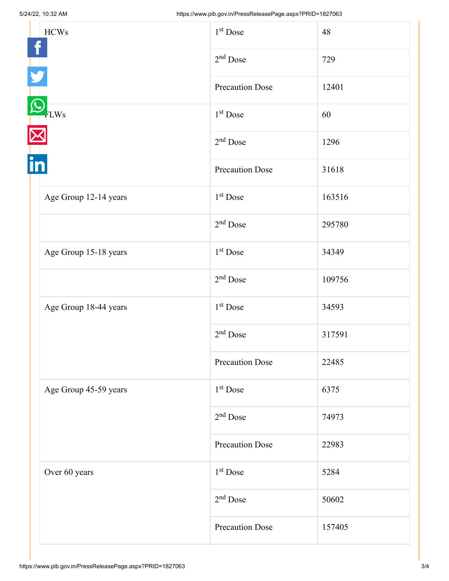| <b>HCWs</b>           | 1 <sup>st</sup> Dose   | 48     |
|-----------------------|------------------------|--------|
|                       | $2nd$ Dose             | 729    |
|                       | <b>Precaution Dose</b> | 12401  |
| FLWs<br>T.            | $1st$ Dose             | 60     |
|                       | $2nd$ Dose             | 1296   |
|                       | <b>Precaution Dose</b> | 31618  |
| Age Group 12-14 years | $1st$ Dose             | 163516 |
|                       | $2nd$ Dose             | 295780 |
| Age Group 15-18 years | 1 <sup>st</sup> Dose   | 34349  |
|                       | $2nd$ Dose             | 109756 |
| Age Group 18-44 years | $1st$ Dose             | 34593  |
|                       | $2nd$ Dose             | 317591 |
|                       | <b>Precaution Dose</b> | 22485  |
| Age Group 45-59 years | $1st$ Dose             | 6375   |
|                       | $2nd$ Dose             | 74973  |
|                       | <b>Precaution Dose</b> | 22983  |
| Over 60 years         | 1 <sup>st</sup> Dose   | 5284   |
|                       | $2nd$ Dose             | 50602  |
|                       | <b>Precaution Dose</b> | 157405 |